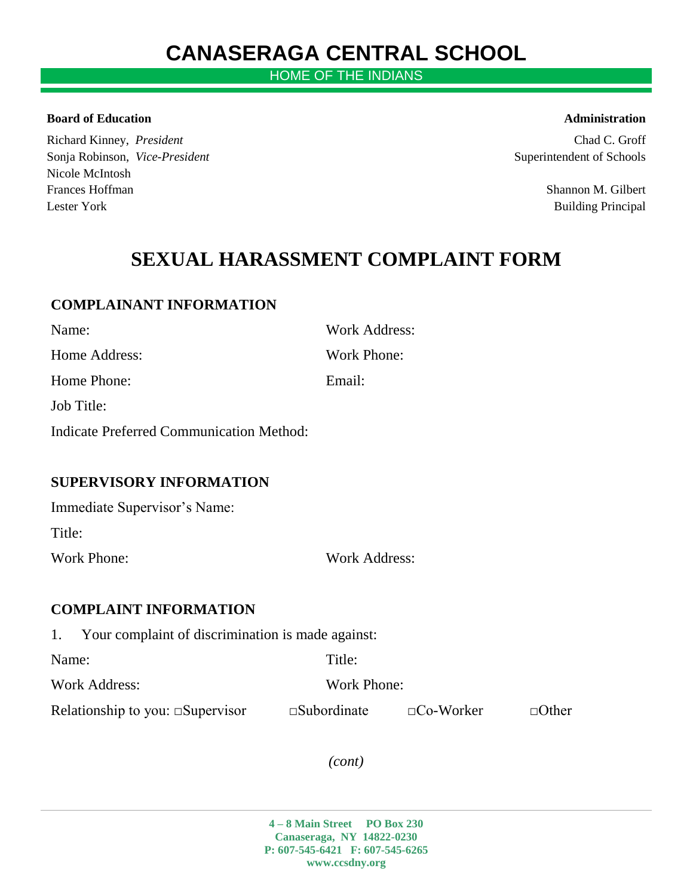# **CANASERAGA CENTRAL SCHOOL**

HOME OF THE INDIANS

### **Board of Education Administration** *Administration*

Richard Kinney, *President* Chad C. Groff Sonja Robinson, *Vice-President* Superintendent of Schools Superintendent of Schools Nicole McIntosh Frances Hoffman Shannon M. Gilbert Lester York Building Principal

## **SEXUAL HARASSMENT COMPLAINT FORM**

## **COMPLAINANT INFORMATION**

| Name:                                    | <b>Work Address:</b> |
|------------------------------------------|----------------------|
| Home Address:                            | Work Phone:          |
| Home Phone:                              | Email:               |
| Job Title:                               |                      |
| Indicate Preferred Communication Method: |                      |
|                                          |                      |
| <b>SUPERVISORY INFORMATION</b>           |                      |
| Immediate Supervisor's Name:             |                      |
| Title:                                   |                      |
| Work Phone:                              | Work Address:        |
|                                          |                      |

## **COMPLAINT INFORMATION**

1. Your complaint of discrimination is made against:

Name: Title:

Work Address: Work Phone:

Relationship to you:  $\square$ Supervisor  $\square$ Subordinate  $\square$ Co-Worker  $\square$ Other

*(cont)*

**4 – 8 Main Street PO Box 230 Canaseraga, NY 14822-0230 P: 607-545-6421 F: 607-545-6265 www.ccsdny.org**